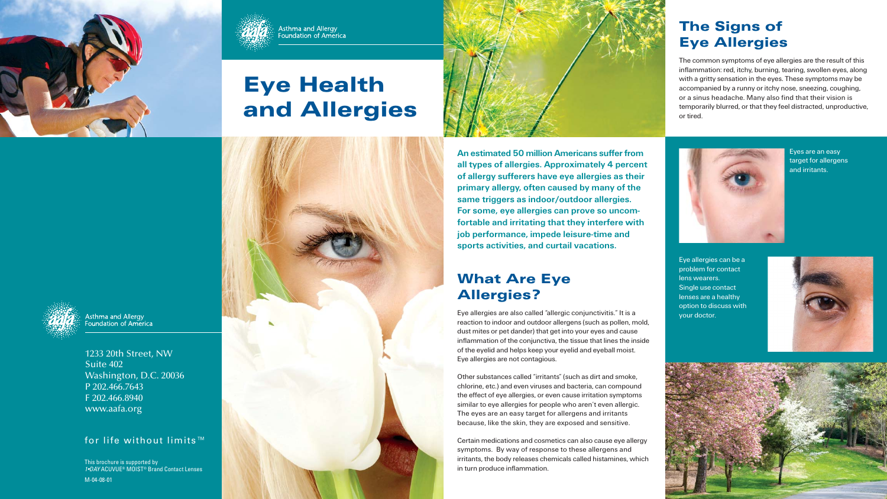1233 20th Street, NW Suite 402Washington, D.C. 20036 P 202.466.7643F 202.466.8940www.aafa.org





# **Eye Health and Allergies**



#### for life without limits™

Eyes are an easy target for allergens and irritants.

Eye allergies can be a problem for contact lens wearers. Single use contact lenses are a healthy option to discuss with your doctor.





An estimated 50 million Americans suffer from all types of allergies. Approximately 4 percent of allergy sufferers have eye allergies as their primary allergy, often caused by many of the same triggers as indoor/outdoor allergies. For some, eye allergies can prove so uncomfortable and irritating that they interfere with job performance, impede leisure-time and sports activities, and curtail vacations.



**What Are Eye Allergies?**

Eye allergies are also called "allergic conjunctivitis." It is a reaction to indoor and outdoor allergens (such as pollen, mold, dust mites or pet dander) that get into your eyes and cause inflammation of the conjunctiva, the tissue that lines the inside of the eyelid and helps keep your eyelid and eyeball moist. Eye allergies are not contagious.

Other substances called "irritants" (such as dirt and smoke, chlorine, etc.) and even viruses and bacteria, can compound the effect of eye allergies, or even cause irritation symptoms similar to eye allergies for people who aren't even allergic. The eyes are an easy target for allergens and irritants because, like the skin, they are exposed and sensitive.

Certain medications and cosmetics can also cause eye allergy symptoms. By way of response to these allergens and irritants, the body releases chemicals called histamines, which in turn produce inflammation.



Asthma and Allergy<br>Foundation of America

#### **The Signs of Eye Allergies**

The common symptoms of eye allergies are the result of this inflammation: red, itchy, burning, tearing, swollen eyes, along with a gritty sensation in the eyes. These symptoms may be accompanied by a runny or itchy nose, sneezing, coughing, or a sinus headache. Many also find that their vision is temporarily blurred, or that they feel distracted, unproductive,

or tired.



This brochure is supported by *1•DAY* ACUVUE® MOIST® Brand Contact Lenses

M-04-08-01